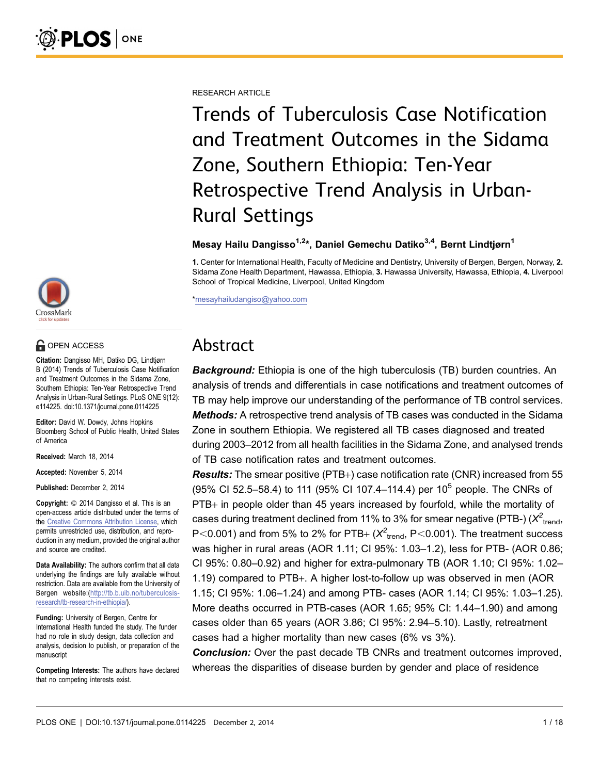RESEARCH ARTICLE

Trends of Tuberculosis Case Notification and Treatment Outcomes in the Sidama Zone, Southern Ethiopia: Ten-Year Retrospective Trend Analysis in Urban-Rural Settings

#### Mesay Hailu Dangisso<sup>1,2\*</sup>, Daniel Gemechu Datiko<sup>3,4</sup>, Bernt Lindtjørn<sup>1</sup>

1. Center for International Health, Faculty of Medicine and Dentistry, University of Bergen, Bergen, Norway, 2. Sidama Zone Health Department, Hawassa, Ethiopia, 3. Hawassa University, Hawassa, Ethiopia, 4. Liverpool School of Tropical Medicine, Liverpool, United Kingdom

\*mesayhailudangiso@yahoo.com

# Abstract

**Background:** Ethiopia is one of the high tuberculosis (TB) burden countries. An analysis of trends and differentials in case notifications and treatment outcomes of TB may help improve our understanding of the performance of TB control services. **Methods:** A retrospective trend analysis of TB cases was conducted in the Sidama Zone in southern Ethiopia. We registered all TB cases diagnosed and treated during 2003–2012 from all health facilities in the Sidama Zone, and analysed trends of TB case notification rates and treatment outcomes.

Results: The smear positive (PTB+) case notification rate (CNR) increased from 55 (95% CI 52.5–58.4) to 111 (95% CI 107.4–114.4) per 10<sup>5</sup> people. The CNRs of PTB+ in people older than 45 years increased by fourfold, while the mortality of cases during treatment declined from 11% to 3% for smear negative (PTB-) ( $X^2_{\text{trend}}$ , P<0.001) and from 5% to 2% for PTB+  $(X_{\text{trend}}^2, P<0.001)$ . The treatment success was higher in rural areas (AOR 1.11; CI 95%: 1.03–1.2), less for PTB- (AOR 0.86; CI 95%: 0.80–0.92) and higher for extra-pulmonary TB (AOR 1.10; CI 95%: 1.02– 1.19) compared to PTB+. A higher lost-to-follow up was observed in men (AOR 1.15; CI 95%: 1.06–1.24) and among PTB- cases (AOR 1.14; CI 95%: 1.03–1.25). More deaths occurred in PTB-cases (AOR 1.65; 95% CI: 1.44–1.90) and among cases older than 65 years (AOR 3.86; CI 95%: 2.94–5.10). Lastly, retreatment cases had a higher mortality than new cases (6% vs 3%).

**Conclusion:** Over the past decade TB CNRs and treatment outcomes improved, whereas the disparities of disease burden by gender and place of residence



# **OPEN ACCESS**

Citation: Dangisso MH, Datiko DG, Lindtjørn B (2014) Trends of Tuberculosis Case Notification and Treatment Outcomes in the Sidama Zone, Southern Ethiopia: Ten-Year Retrospective Trend Analysis in Urban-Rural Settings. PLoS ONE 9(12): e114225. doi:10.1371/journal.pone.0114225

Editor: David W. Dowdy, Johns Hopkins Bloomberg School of Public Health, United States of America

Received: March 18, 2014

Accepted: November 5, 2014

Published: December 2, 2014

**Copyright:** © 2014 Dangisso et al. This is an open-access article distributed under the terms of the [Creative Commons Attribution License](http://creativecommons.org/licenses/by/4.0/), which permits unrestricted use, distribution, and reproduction in any medium, provided the original author and source are credited.

Data Availability: The authors confirm that all data underlying the findings are fully available without restriction. Data are available from the University of Bergen website:[\(http://tb.b.uib.no/tuberculosis](http://tb.b.uib.no/tuberculosis-research%E2%80%8B/tb-research-in-ethiopia/)[research/tb-research-in-ethiopia/\)](http://tb.b.uib.no/tuberculosis-research%E2%80%8B/tb-research-in-ethiopia/).

Funding: University of Bergen, Centre for International Health funded the study. The funder had no role in study design, data collection and analysis, decision to publish, or preparation of the manuscript

Competing Interests: The authors have declared that no competing interests exist.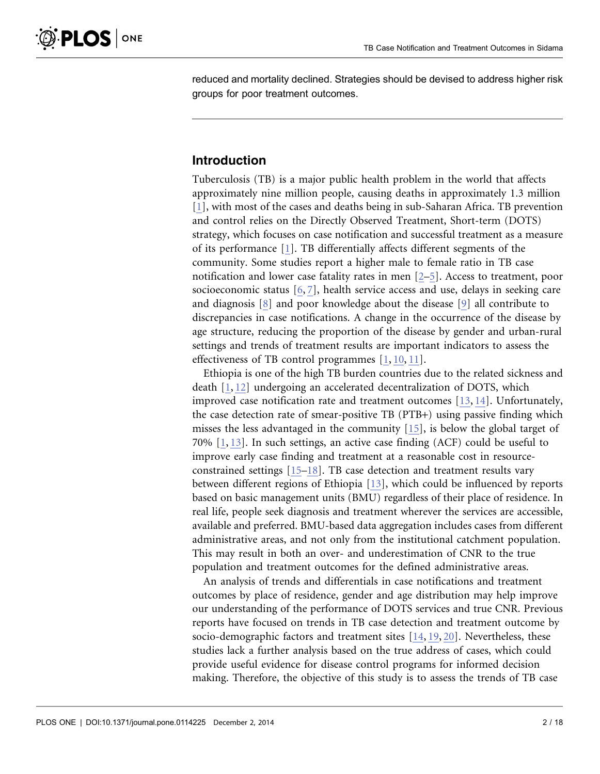reduced and mortality declined. Strategies should be devised to address higher risk groups for poor treatment outcomes.

### Introduction

Tuberculosis (TB) is a major public health problem in the world that affects approximately nine million people, causing deaths in approximately 1.3 million [\[1\], with most of the cases and deaths being in sub-Saharan Africa. TB prevention](#page-15-0) [and control relies on the Directly Observed Treatment, Short-term \(DOTS\)](#page-15-0) [strategy, which focuses on case notification and successful treatment as a measure](#page-15-0) [of its performance \[1\]. TB differentially affects different segments of the](#page-15-0) [community. Some studies report a higher male to female ratio in TB case](#page-15-0) [notification and lower case fatality rates in men \[2–5\]. Access to treatment, poor](#page-15-0) socioeconomic status  $[6, 7]$ , health service access and use, delays in seeking care [and diagnosis \[8\] and poor knowledge about the disease \[9\] all contribute to](#page-15-0) [discrepancies in case notifications. A change in the occurrence of the disease by](#page-15-0) [age structure, reducing the proportion of the disease by gender and urban-rural](#page-15-0) [settings and trends of treatment results are important indicators to assess the](#page-15-0) [effectiveness of TB control programmes \[1,](#page-15-0) [10,](#page-15-0) [11\].](#page-15-0)

Ethiopia is one of the high TB burden countries due to the related sickness and death [\[1,](#page-15-0) [12\] undergoing an accelerated decentralization of DOTS, which](#page-15-0) [improved case notification rate and treatment outcomes \[13,](#page-15-0) [14\]. Unfortunately,](#page-15-0) [the case detection rate of smear-positive TB \(PTB](#page-15-0)+) using passive finding which [misses the less advantaged in the community \[15\], is below the global target of](#page-15-0) [70% \[1,](#page-15-0) [13\]. In such settings, an active case finding \(ACF\) could be useful to](#page-15-0) [improve early case finding and treatment at a reasonable cost in resource](#page-15-0)[constrained settings \[15–18\]. TB case detection and treatment results vary](#page-15-0) [between different regions of Ethiopia \[13\], which could be influenced by reports](#page-15-0) [based on basic management units \(BMU\) regardless of their place of residence. In](#page-15-0) [real life, people seek diagnosis and treatment wherever the services are accessible,](#page-15-0) [available and preferred. BMU-based data aggregation includes cases from different](#page-15-0) [administrative areas, and not only from the institutional catchment population.](#page-15-0) [This may result in both an over- and underestimation of CNR to the true](#page-15-0) [population and treatment outcomes for the defined administrative areas.](#page-15-0)

An analysis of trends and differentials in case notifications and treatment outcomes by place of residence, gender and age distribution may help improve our understanding of the performance of DOTS services and true CNR. Previous reports have focused on trends in TB case detection and treatment outcome by socio-demographic factors and treatment sites [\[14,](#page-15-0) [19,](#page-15-0) [20\]. Nevertheless, these](#page-15-0) [studies lack a further analysis based on the true address of cases, which could](#page-15-0) [provide useful evidence for disease control programs for informed decision](#page-15-0) [making. Therefore, the objective of this study is to assess the trends of TB case](#page-15-0)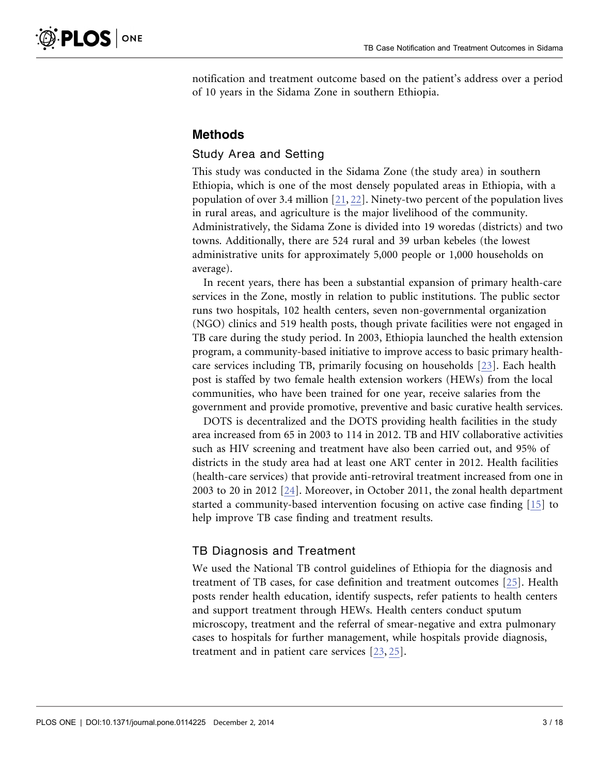[notification and treatment outcome based on the patient's address over a period](#page-15-0) [of 10 years in the Sidama Zone in southern Ethiopia.](#page-15-0)

### Methods

#### Study Area and Setting

This study was conducted in the Sidama Zone (the study area) in southern Ethiopia, which is one of the most densely populated areas in Ethiopia, with a population of over 3.4 million [\[21,](#page-15-0) [22\]. Ninety-two percent of the population lives](#page-15-0) [in rural areas, and agriculture is the major livelihood of the community.](#page-15-0) [Administratively, the Sidama Zone is divided into 19 woredas \(districts\) and two](#page-15-0) [towns. Additionally, there are 524 rural and 39 urban kebeles \(the lowest](#page-15-0) [administrative units for approximately 5,000 people or 1,000 households on](#page-15-0) [average\).](#page-15-0)

In recent years, there has been a substantial expansion of primary health-care services in the Zone, mostly in relation to public institutions. The public sector runs two hospitals, 102 health centers, seven non-governmental organization (NGO) clinics and 519 health posts, though private facilities were not engaged in TB care during the study period. In 2003, Ethiopia launched the health extension program, a community-based initiative to improve access to basic primary healthcare services including TB, primarily focusing on households [\[23\]. Each health](#page-15-0) [post is staffed by two female health extension workers \(HEWs\) from the local](#page-15-0) [communities, who have been trained for one year, receive salaries from the](#page-15-0) [government and provide promotive, preventive and basic curative health services.](#page-15-0)

DOTS is decentralized and the DOTS providing health facilities in the study area increased from 65 in 2003 to 114 in 2012. TB and HIV collaborative activities such as HIV screening and treatment have also been carried out, and 95% of districts in the study area had at least one ART center in 2012. Health facilities (health-care services) that provide anti-retroviral treatment increased from one in 2003 to 20 in 2012 [\[24\]. Moreover, in October 2011, the zonal health department](#page-16-0) [started a community-based intervention focusing on active case finding \[15\] to](#page-15-0) [help improve TB case finding and treatment results.](#page-15-0)

### TB Diagnosis and Treatment

We used the National TB control guidelines of Ethiopia for the diagnosis and treatment of TB cases, for case definition and treatment outcomes [\[25\]. Health](#page-16-0) [posts render health education, identify suspects, refer patients to health centers](#page-16-0) [and support treatment through HEWs. Health centers conduct sputum](#page-16-0) [microscopy, treatment and the referral of smear-negative and extra pulmonary](#page-16-0) [cases to hospitals for further management, while hospitals provide diagnosis,](#page-16-0) [treatment and in patient care services \[23,](#page-15-0) [25\].](#page-15-0)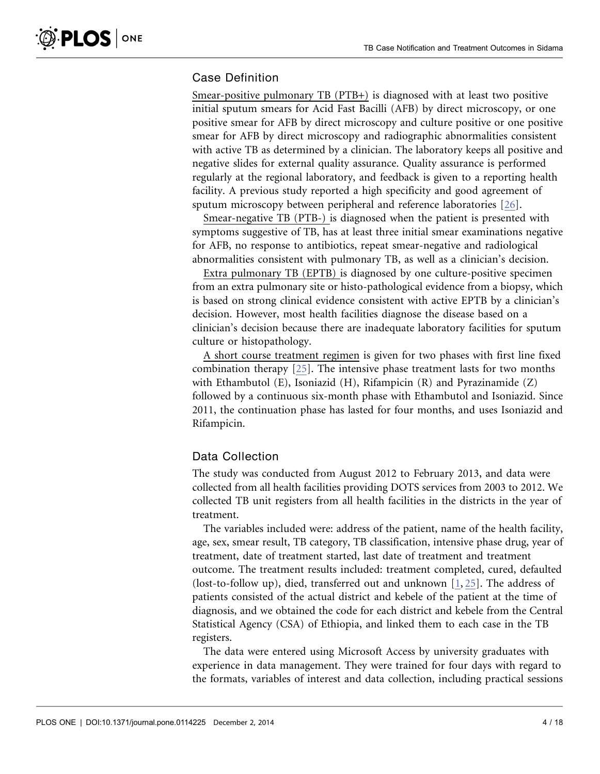#### Case Definition

Smear-positive pulmonary TB (PTB+) is diagnosed with at least two positive initial sputum smears for Acid Fast Bacilli (AFB) by direct microscopy, or one positive smear for AFB by direct microscopy and culture positive or one positive smear for AFB by direct microscopy and radiographic abnormalities consistent with active TB as determined by a clinician. The laboratory keeps all positive and negative slides for external quality assurance. Quality assurance is performed regularly at the regional laboratory, and feedback is given to a reporting health facility. A previous study reported a high specificity and good agreement of sputum microscopy between peripheral and reference laboratories [\[26\].](#page-16-0)

Smear-negative TB (PTB-) is diagnosed when the patient is presented with symptoms suggestive of TB, has at least three initial smear examinations negative for AFB, no response to antibiotics, repeat smear-negative and radiological abnormalities consistent with pulmonary TB, as well as a clinician's decision.

Extra pulmonary TB (EPTB) is diagnosed by one culture-positive specimen from an extra pulmonary site or histo-pathological evidence from a biopsy, which is based on strong clinical evidence consistent with active EPTB by a clinician's decision. However, most health facilities diagnose the disease based on a clinician's decision because there are inadequate laboratory facilities for sputum culture or histopathology.

A short course treatment regimen is given for two phases with first line fixed combination therapy [\[25\]. The intensive phase treatment lasts for two months](#page-16-0) [with Ethambutol \(E\), Isoniazid \(H\), Rifampicin \(R\) and Pyrazinamide \(Z\)](#page-16-0) [followed by a continuous six-month phase with Ethambutol and Isoniazid. Since](#page-16-0) [2011, the continuation phase has lasted for four months, and uses Isoniazid and](#page-16-0) [Rifampicin.](#page-16-0)

### Data Collection

The study was conducted from August 2012 to February 2013, and data were collected from all health facilities providing DOTS services from 2003 to 2012. We collected TB unit registers from all health facilities in the districts in the year of treatment.

The variables included were: address of the patient, name of the health facility, age, sex, smear result, TB category, TB classification, intensive phase drug, year of treatment, date of treatment started, last date of treatment and treatment outcome. The treatment results included: treatment completed, cured, defaulted (lost-to-follow up), died, transferred out and unknown [\[1,](#page-15-0) [25\]. The address of](#page-15-0) [patients consisted of the actual district and kebele of the patient at the time of](#page-15-0) [diagnosis, and we obtained the code for each district and kebele from the Central](#page-15-0) [Statistical Agency \(CSA\) of Ethiopia, and linked them to each case in the TB](#page-15-0) [registers.](#page-15-0)

The data were entered using Microsoft Access by university graduates with experience in data management. They were trained for four days with regard to the formats, variables of interest and data collection, including practical sessions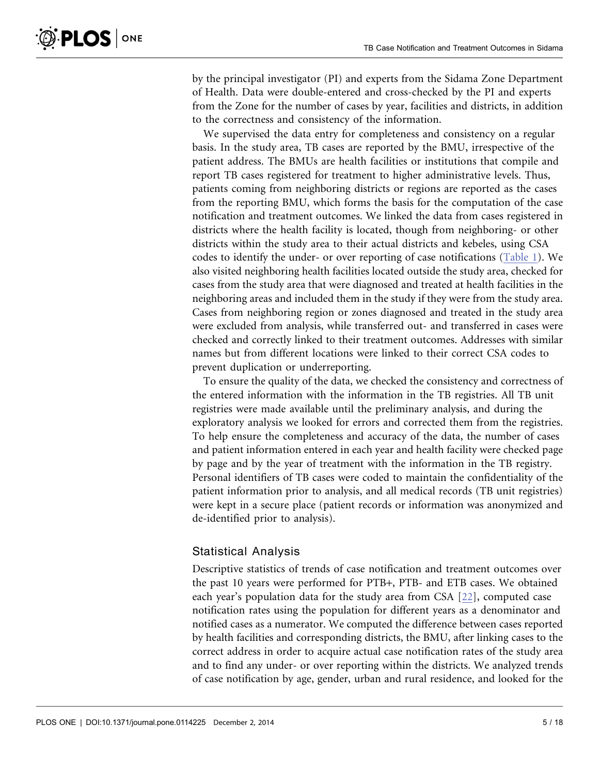by the principal investigator (PI) and experts from the Sidama Zone Department of Health. Data were double-entered and cross-checked by the PI and experts from the Zone for the number of cases by year, facilities and districts, in addition to the correctness and consistency of the information.

We supervised the data entry for completeness and consistency on a regular basis. In the study area, TB cases are reported by the BMU, irrespective of the patient address. The BMUs are health facilities or institutions that compile and report TB cases registered for treatment to higher administrative levels. Thus, patients coming from neighboring districts or regions are reported as the cases from the reporting BMU, which forms the basis for the computation of the case notification and treatment outcomes. We linked the data from cases registered in districts where the health facility is located, though from neighboring- or other districts within the study area to their actual districts and kebeles, using CSA codes to identify the under- or over reporting of case notifications [\(Table 1\). We](#page-5-0) [also visited neighboring health facilities located outside the study area, checked for](#page-5-0) [cases from the study area that were diagnosed and treated at health facilities in the](#page-5-0) [neighboring areas and included them in the study if they were from the study area.](#page-5-0) [Cases from neighboring region or zones diagnosed and treated in the study area](#page-5-0) [were excluded from analysis, while transferred out- and transferred in cases were](#page-5-0) [checked and correctly linked to their treatment outcomes. Addresses with similar](#page-5-0) [names but from different locations were linked to their correct CSA codes to](#page-5-0) [prevent duplication or underreporting.](#page-5-0)

To ensure the quality of the data, we checked the consistency and correctness of the entered information with the information in the TB registries. All TB unit registries were made available until the preliminary analysis, and during the exploratory analysis we looked for errors and corrected them from the registries. To help ensure the completeness and accuracy of the data, the number of cases and patient information entered in each year and health facility were checked page by page and by the year of treatment with the information in the TB registry. Personal identifiers of TB cases were coded to maintain the confidentiality of the patient information prior to analysis, and all medical records (TB unit registries) were kept in a secure place (patient records or information was anonymized and de-identified prior to analysis).

### Statistical Analysis

Descriptive statistics of trends of case notification and treatment outcomes over the past 10 years were performed for PTB+, PTB- and ETB cases. We obtained each year's population data for the study area from CSA [\[22\], computed case](#page-15-0) [notification rates using the population for different years as a denominator and](#page-15-0) [notified cases as a numerator. We computed the difference between cases reported](#page-15-0) [by health facilities and corresponding districts, the BMU, after linking cases to the](#page-15-0) [correct address in order to acquire actual case notification rates of the study area](#page-15-0) [and to find any under- or over reporting within the districts. We analyzed trends](#page-15-0) [of case notification by age, gender, urban and rural residence, and looked for the](#page-15-0)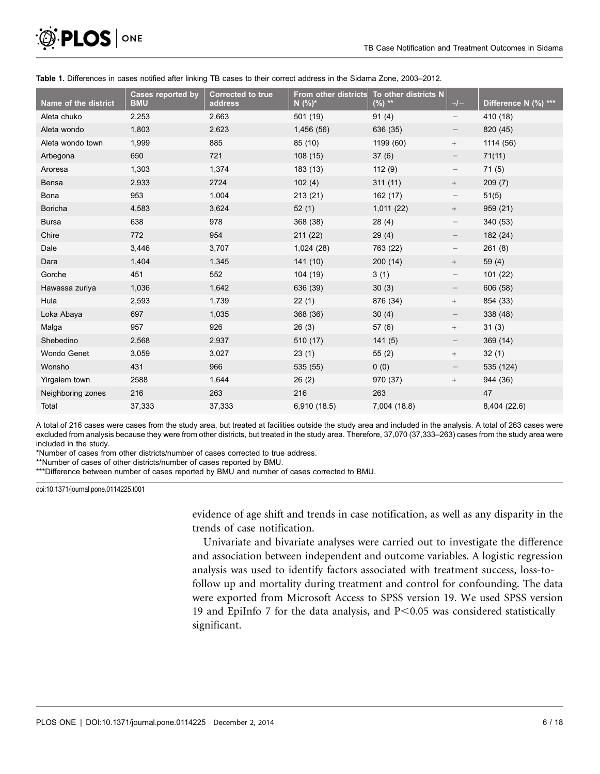<span id="page-5-0"></span>

|  |  |  |  |  |  |  |  | Table 1. Differences in cases notified after linking TB cases to their correct address in the Sidama Zone, 2003-2012. |  |
|--|--|--|--|--|--|--|--|-----------------------------------------------------------------------------------------------------------------------|--|
|--|--|--|--|--|--|--|--|-----------------------------------------------------------------------------------------------------------------------|--|

| Name of the district | <b>Cases reported by</b><br><b>BMU</b> | <b>Corrected to true</b><br>address | <b>From other districts</b><br>$N$ (%)* | To other districts N<br>$(\%)$ ** | $+/-$                    | Difference N (%) *** |
|----------------------|----------------------------------------|-------------------------------------|-----------------------------------------|-----------------------------------|--------------------------|----------------------|
| Aleta chuko          | 2,253                                  | 2,663                               | 501 (19)                                | 91(4)                             | $\qquad \qquad -$        | 410 (18)             |
| Aleta wondo          | 1,803                                  | 2,623                               | 1,456 (56)                              | 636 (35)                          | $\overline{\phantom{m}}$ | 820 (45)             |
| Aleta wondo town     | 1,999                                  | 885                                 | 85 (10)                                 | 1199 (60)                         | $^{+}$                   | 1114 (56)            |
| Arbegona             | 650                                    | 721                                 | 108(15)                                 | 37(6)                             | $\overline{\phantom{m}}$ | 71(11)               |
| Aroresa              | 1,303                                  | 1,374                               | 183 (13)                                | 112(9)                            | $\overline{\phantom{m}}$ | 71(5)                |
| Bensa                | 2,933                                  | 2724                                | 102(4)                                  | 311(11)                           | $^{+}$                   | 209(7)               |
| Bona                 | 953                                    | 1,004                               | 213 (21)                                | 162 (17)                          | $\overline{\phantom{a}}$ | 51(5)                |
| <b>Boricha</b>       | 4,583                                  | 3,624                               | 52(1)                                   | 1,011 (22)                        | $\qquad \qquad +$        | 959 (21)             |
| <b>Bursa</b>         | 638                                    | 978                                 | 368 (38)                                | 28(4)                             | $\overline{\phantom{m}}$ | 340 (53)             |
| Chire                | 772                                    | 954                                 | 211 (22)                                | 29(4)                             | $\qquad \qquad -$        | 182 (24)             |
| Dale                 | 3,446                                  | 3,707                               | 1,024 (28)                              | 763 (22)                          | $\overline{\phantom{m}}$ | 261(8)               |
| Dara                 | 1,404                                  | 1,345                               | 141 (10)                                | 200(14)                           | $^{+}$                   | 59 (4)               |
| Gorche               | 451                                    | 552                                 | 104 (19)                                | 3(1)                              | $\overline{\phantom{m}}$ | 101(22)              |
| Hawassa zuriya       | 1,036                                  | 1,642                               | 636 (39)                                | 30(3)                             | $\qquad \qquad -$        | 606 (58)             |
| Hula                 | 2,593                                  | 1,739                               | 22(1)                                   | 876 (34)                          | $^{+}$                   | 854 (33)             |
| Loka Abaya           | 697                                    | 1,035                               | 368 (36)                                | 30(4)                             | $\qquad \qquad -$        | 338 (48)             |
| Malga                | 957                                    | 926                                 | 26(3)                                   | 57(6)                             | $+$                      | 31(3)                |
| Shebedino            | 2,568                                  | 2,937                               | 510 (17)                                | 141(5)                            | $\qquad \qquad -$        | 369 (14)             |
| <b>Wondo Genet</b>   | 3,059                                  | 3,027                               | 23(1)                                   | 55(2)                             | $+$                      | 32(1)                |
| Wonsho               | 431                                    | 966                                 | 535 (55)                                | 0(0)                              | $\qquad \qquad -$        | 535 (124)            |
| Yirgalem town        | 2588                                   | 1,644                               | 26(2)                                   | 970 (37)                          | $^{+}$                   | 944 (36)             |
| Neighboring zones    | 216                                    | 263                                 | 216                                     | 263                               |                          | 47                   |
| Total                | 37,333                                 | 37,333                              | 6,910 (18.5)                            | 7,004 (18.8)                      |                          | 8,404 (22.6)         |

A total of 216 cases were cases from the study area, but treated at facilities outside the study area and included in the analysis. A total of 263 cases were excluded from analysis because they were from other districts, but treated in the study area. Therefore, 37,070 (37,333–263) cases from the study area were included in the study.

\*Number of cases from other districts/number of cases corrected to true address.

\*\*Number of cases of other districts/number of cases reported by BMU.

\*\*\*Difference between number of cases reported by BMU and number of cases corrected to BMU.

doi:10.1371/journal.pone.0114225.t001

[evidence of age shift and trends in case notification, as well as any disparity in the](#page-15-0) [trends of case notification.](#page-15-0)

Univariate and bivariate analyses were carried out to investigate the difference and association between independent and outcome variables. A logistic regression analysis was used to identify factors associated with treatment success, loss-tofollow up and mortality during treatment and control for confounding. The data were exported from Microsoft Access to SPSS version 19. We used SPSS version 19 and EpiInfo 7 for the data analysis, and  $P<0.05$  was considered statistically significant.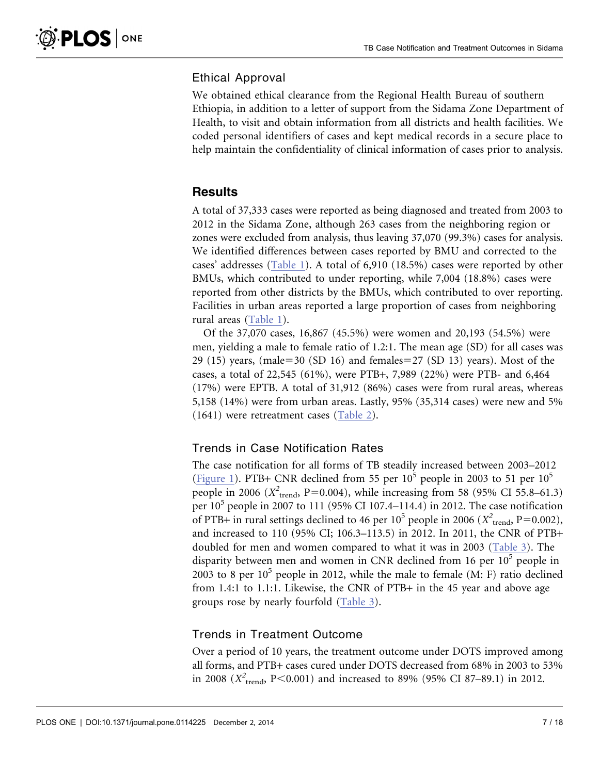### Ethical Approval

We obtained ethical clearance from the Regional Health Bureau of southern Ethiopia, in addition to a letter of support from the Sidama Zone Department of Health, to visit and obtain information from all districts and health facilities. We coded personal identifiers of cases and kept medical records in a secure place to help maintain the confidentiality of clinical information of cases prior to analysis.

## **Results**

A total of 37,333 cases were reported as being diagnosed and treated from 2003 to 2012 in the Sidama Zone, although 263 cases from the neighboring region or zones were excluded from analysis, thus leaving 37,070 (99.3%) cases for analysis. We identified differences between cases reported by BMU and corrected to the cases' addresses ([Table 1\). A total of 6,910 \(18.5%\) cases were reported by other](#page-5-0) [BMUs, which contributed to under reporting, while 7,004 \(18.8%\) cases were](#page-5-0) [reported from other districts by the BMUs, which contributed to over reporting.](#page-5-0) [Facilities in urban areas reported a large proportion of cases from neighboring](#page-5-0) [rural areas \(Table 1\).](#page-5-0)

Of the 37,070 cases, 16,867 (45.5%) were women and 20,193 (54.5%) were men, yielding a male to female ratio of 1.2:1. The mean age (SD) for all cases was 29 (15) years, (male=30 (SD 16) and females=27 (SD 13) years). Most of the cases, a total of 22,545 (61%), were PTB+, 7,989 (22%) were PTB- and 6,464 (17%) were EPTB. A total of 31,912 (86%) cases were from rural areas, whereas 5,158 (14%) were from urban areas. Lastly, 95% (35,314 cases) were new and 5% (1641) were retreatment cases ([Table 2\).](#page-7-0)

## Trends in Case Notification Rates

The case notification for all forms of TB steadily increased between 2003–2012 ([Figure 1](#page-8-0)). PTB+ CNR declined from 55 per  $10^5$  people in 2003 to 51 per  $10^5$ people in 2006 ( $X^2_{\text{trend}}$ , P=0.004), while increasing from 58 (95% CI 55.8–61.3) per  $10^5$  people in 2007 to 111 (95% CI 107.4–114.4) in 2012. The case notification of PTB+ in rural settings declined to 46 per  $10^5$  people in 2006 ( $X^2$ <sub>trend</sub>, P=0.002), and increased to 110 (95% CI; 106.3–113.5) in 2012. In 2011, the CNR of PTB+ doubled for men and women compared to what it was in 2003 ([Table 3\). The](#page-8-0) disparity between men and women in CNR declined from 16 per  $10<sup>5</sup>$  [people in](#page-8-0) 2003 to 8 per  $10^5$  [people in 2012, while the male to female \(M: F\) ratio declined](#page-8-0) [from 1.4:1 to 1.1:1. Likewise, the CNR of PTB](#page-8-0)+ in the 45 year and above age [groups rose by nearly fourfold \(Table 3\).](#page-8-0)

### Trends in Treatment Outcome

Over a period of 10 years, the treatment outcome under DOTS improved among all forms, and PTB+ cases cured under DOTS decreased from 68% in 2003 to 53% in 2008 ( $X^2_{\text{trend}}$ , P<0.001) and increased to 89% (95% CI 87–89.1) in 2012.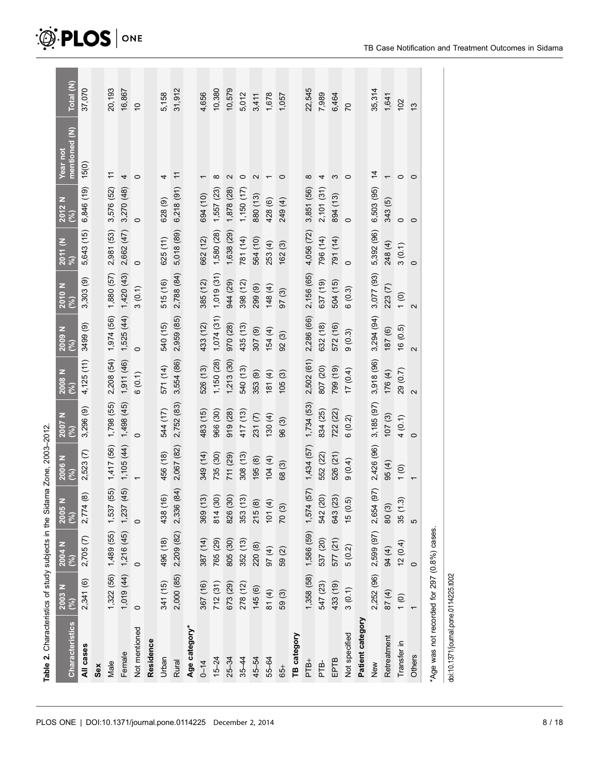<span id="page-7-0"></span>

| Table 2. Characteristics of study subjects in the Sidama Zone, 2003-2012. |                              |                                              |                                   |                             |                              |                   |                            |                         |                   |               |                       |                |
|---------------------------------------------------------------------------|------------------------------|----------------------------------------------|-----------------------------------|-----------------------------|------------------------------|-------------------|----------------------------|-------------------------|-------------------|---------------|-----------------------|----------------|
| Characteristics                                                           | $\frac{2003}{\binom{96}{2}}$ | <b>N</b><br>(%)                              | z<br>$\frac{2005}{\binom{8}{0}}$  | $2006$ N<br>$\binom{96}{6}$ | $\frac{2007}{\binom{96}{2}}$ | $2008 N$<br>$(%)$ | $2009$ N<br>$\binom{0}{0}$ | $2010 N$<br>$(%)$       | $\frac{2011}{20}$ | 2012 N<br>(%) | nentioned<br>Year not | Total (N)      |
| All cases                                                                 | 2,341 (6)                    | 2,705(7)                                     | $\circledcirc$<br>2,774           | 2,523(7)                    | 3,296 (9)                    | 4,125 (11)        | 3499 (9)                   | 3,303 (9)               | 5,643 (15)        | 6,846 (19)    | 15(0)                 | 37,070         |
| Sex                                                                       |                              |                                              |                                   |                             |                              |                   |                            |                         |                   |               |                       |                |
| Male                                                                      | 1,322 (56)                   | 1,489 (55)                                   | (55)<br>1,537                     | 1,417 (56)                  | 1,798 (55)                   | 2,208 (54)        | 1,974 (56)                 | 1,880 (57)              | 2,981 (53)        | 3,576 (52)    | $\div$                | 20,193         |
| Female                                                                    |                              | $1,019$ $(44)$ $1,216$ $(45)$ $1,237$ $(45)$ |                                   | 1,105 (44) 1,498 (45)       |                              | 1,911 (46)        |                            | $1,525(44)$ $1,420(43)$ | 2,662 (47)        | 3,270 (48)    | 4                     | 16,867         |
| Not mentioned                                                             | $\circ$                      | $\circ$                                      | $\circ$                           |                             | $\circ$                      | 6(0.1)            | $\circ$                    | 3(0.1)                  | $\circ$           | $\circ$       | $\circ$               | $\overline{C}$ |
| Residence                                                                 |                              |                                              |                                   |                             |                              |                   |                            |                         |                   |               |                       |                |
| Urban                                                                     | 341 (15)                     | 496 (18)                                     | (16)<br>438 (                     | 456 (18)                    | 544 (17)                     | 571 (14)          | 540 (15)                   | 515 (16)                | 625 (11)          | 628 (9)       | 4                     | 5,158          |
| Rural                                                                     | 2,000 (85)                   | 2,209 (82)                                   | 2,336 (84)                        | 2,067 (82)                  | 2,752 (83)                   | 3,554 (86)        | 2,959 (85)                 | 2,788 (84)              | 5,018 (89)        | 6,218 (91)    | $\tilde{t}$           | 31,912         |
| Age category*                                                             |                              |                                              |                                   |                             |                              |                   |                            |                         |                   |               |                       |                |
| $0 - 14$                                                                  | 367 (16)                     | 387 (14)                                     | (13)<br>369                       | 349 (14)                    | 483 (15)                     | 526 (13)          | 433 (12)                   | 385 (12)                | 662 (12)          | 694 (10)      |                       | 4,656          |
| $15 - 24$                                                                 | 712(31)                      | 765 (29)                                     | (30)<br>814                       | 735 (30)                    | 966 (30)                     | 1,150 (28)        | 1,074(31)                  | 1,019(31)               | 1,580 (28)        | 1,557(23)     | ∞                     | 10,380         |
| $25 - 34$                                                                 | 673 (29)                     | 805 (30)                                     | (30)<br>826                       | 711 (29)                    | 919 (28)                     | 1,213 (30)        | 970 (28)                   | 944 (29)                | 1,638 (29)        | 1,878 (28)    | $\mathbf{\Omega}$     | 10,579         |
| $35 - 44$                                                                 | 278 (12)                     | 352(13)                                      | (13)<br>353                       | 308(13)                     | 417 (13)                     | 540 (13)          | 435 (13)                   | 398 (12)                | 781 (14)          | 1,150(17)     | $\circ$               | 5,012          |
| 45-54                                                                     | 145 (6)                      | 220 (8)                                      | $\widehat{\circ}$<br>215          | 195(8)                      | 231 (7)                      | 353 (9)           | 307 (9)                    | 299 (9)                 | 564 (10)          | 880 (13)      | $\mathbf{\Omega}$     | 3,411          |
| 55-64                                                                     | 81 (4)                       | $(+) 16$                                     | $\widehat{H}$<br>101              | 104(4)                      | 130 (4)                      | 181 (4)           | 154(4)                     | 148 (4)                 | 253 (4)           | 428 (6)       |                       | 1,678          |
| 65+                                                                       | 59(3)                        | 59(2)                                        | 70 (3)                            | 68(3)                       | 96 (3)                       | 105(3)            | 92(3)                      | 97(3)                   | 162(3)            | 249 (4)       | 0                     | 1,057          |
| TB category                                                               |                              |                                              |                                   |                             |                              |                   |                            |                         |                   |               |                       |                |
| PTB+                                                                      | 1,358 (58)                   | 1,586 (59)                                   | (57)<br>1,574                     | 1,434(57)                   | 1,734 (53)                   | 2,502 (61)        | 2,286 (66)                 | 2,156 (65)              | 4,056 (72)        | 3,851 (56)    | ∞                     | 22,545         |
| PTB-                                                                      | 547 (23)                     | 537 (20)                                     | (20)<br>542                       | 552 (22)                    | 834 (25)                     | 807 (20)          | 632 (18)                   | 637 (19)                | 796 (14)          | 2,101(31)     |                       | 7,989          |
| EPTB                                                                      | 433 (19)                     | 577 (21)                                     | (23)<br>643                       | 526 (21)                    | 722 (22)                     | 799 (19)          | 572 (16)                   | 504 (15)                | 791 (14)          | 894 (13)      | က                     | 6,464          |
| Not specified                                                             | 3(0.1)                       | 5(0.2)                                       | $\widehat{\mathfrak{g}}$<br>15(0. | 9(0.4)                      | 6(0.2)                       | 17(0.4)           | 9(0.3)                     | 6(0.3)                  | $\circ$           | $\circ$       | $\circ$               | 5              |
| Patient category                                                          |                              |                                              |                                   |                             |                              |                   |                            |                         |                   |               |                       |                |
| New                                                                       |                              | 2,252 (96) 2,599 (97)                        | (97)<br>2,654                     | 2,426 (96)                  | 3,185 (97)                   | 3,918 (96)        | 3,294 (94)                 | 3,077 (93)              | 5,392 (96)        | 6,503 (95)    | $\frac{4}{3}$         | 35,314         |
| Retreatment                                                               | 87(4)                        | 94 (4)                                       | 80 (3)                            | 95(4)                       | 107(3)                       | 176 (4)           | 187 (6)                    | 223 (7)                 | 248 (4)           | 343 (5)       |                       | 1,641          |
| Transfer in                                                               | (0)                          | $12(0.4)$<br>0                               | $\widehat{\mathcal{C}}$<br>35(1)  | (0)                         | 4(0.1)                       | 29(0.7)           | 16(0.5)                    | (0)                     | 3(0.1)            | $\circ$       | $\circ$               | 102            |
| Others                                                                    |                              |                                              | ယ                                 |                             | $\circ$                      | $\sim$            | $\sim$                     | $\sim$                  | $\circ$           | $\circ$       | $\circ$               | $\tilde{c}$    |
| *Age was not recorded for 297 (0.8%) cases.                               |                              |                                              |                                   |                             |                              |                   |                            |                         |                   |               |                       |                |

doi:10.1371/journal.pone.0114225.t002 doi:10.1371/journal.pone.0114225.t002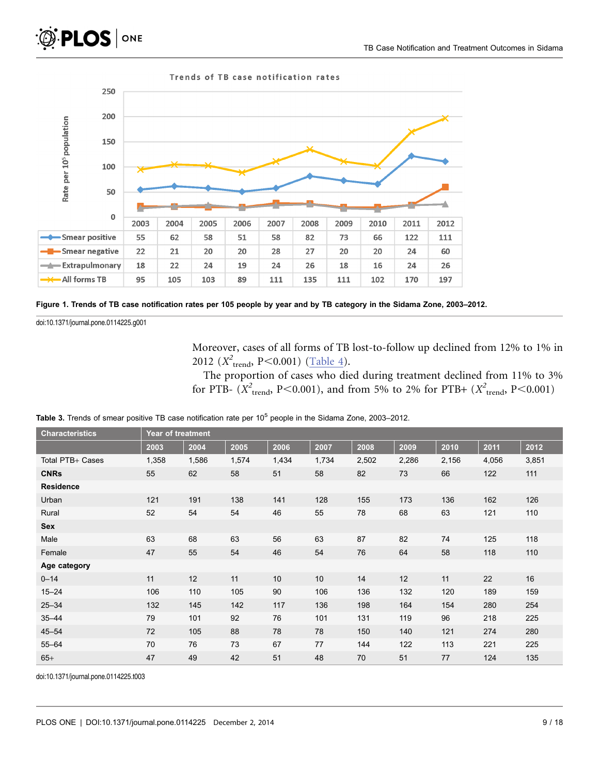<span id="page-8-0"></span>



Figure 1. Trends of TB case notification rates per 105 people by year and by TB category in the Sidama Zone, 2003–2012.

doi:10.1371/journal.pone.0114225.g001

Moreover, cases of all forms of TB lost-to-follow up declined from 12% to 1% in 2012 ( $X^2$ <sub>trend</sub>, P<0.001) ([Table 4\).](#page-9-0)

The proportion of cases who died during treatment declined from 11% to 3% for PTB- ( $X^2_{\text{trend}}$ , P<0.001), and from 5% to 2% for PTB+ ( $X^2_{\text{trend}}$ , P<0.001)

| <b>Characteristics</b> | Year of treatment |       |       |       |       |       |       |       |       |       |
|------------------------|-------------------|-------|-------|-------|-------|-------|-------|-------|-------|-------|
|                        | 2003              | 2004  | 2005  | 2006  | 2007  | 2008  | 2009  | 2010  | 2011  | 2012  |
| Total PTB+ Cases       | 1,358             | 1,586 | 1,574 | 1,434 | 1,734 | 2,502 | 2,286 | 2,156 | 4,056 | 3,851 |
| <b>CNRs</b>            | 55                | 62    | 58    | 51    | 58    | 82    | 73    | 66    | 122   | 111   |
| <b>Residence</b>       |                   |       |       |       |       |       |       |       |       |       |
| Urban                  | 121               | 191   | 138   | 141   | 128   | 155   | 173   | 136   | 162   | 126   |
| Rural                  | 52                | 54    | 54    | 46    | 55    | 78    | 68    | 63    | 121   | 110   |
| <b>Sex</b>             |                   |       |       |       |       |       |       |       |       |       |
| Male                   | 63                | 68    | 63    | 56    | 63    | 87    | 82    | 74    | 125   | 118   |
| Female                 | 47                | 55    | 54    | 46    | 54    | 76    | 64    | 58    | 118   | 110   |
| Age category           |                   |       |       |       |       |       |       |       |       |       |
| $0 - 14$               | 11                | 12    | 11    | 10    | 10    | 14    | 12    | 11    | 22    | 16    |
| $15 - 24$              | 106               | 110   | 105   | 90    | 106   | 136   | 132   | 120   | 189   | 159   |
| $25 - 34$              | 132               | 145   | 142   | 117   | 136   | 198   | 164   | 154   | 280   | 254   |
| $35 - 44$              | 79                | 101   | 92    | 76    | 101   | 131   | 119   | 96    | 218   | 225   |
| $45 - 54$              | 72                | 105   | 88    | 78    | 78    | 150   | 140   | 121   | 274   | 280   |
| $55 - 64$              | 70                | 76    | 73    | 67    | 77    | 144   | 122   | 113   | 221   | 225   |
| $65+$                  | 47                | 49    | 42    | 51    | 48    | 70    | 51    | 77    | 124   | 135   |

Table 3. Trends of smear positive TB case notification rate per 10<sup>5</sup> people in the Sidama Zone, 2003–2012.

doi:10.1371/journal.pone.0114225.t003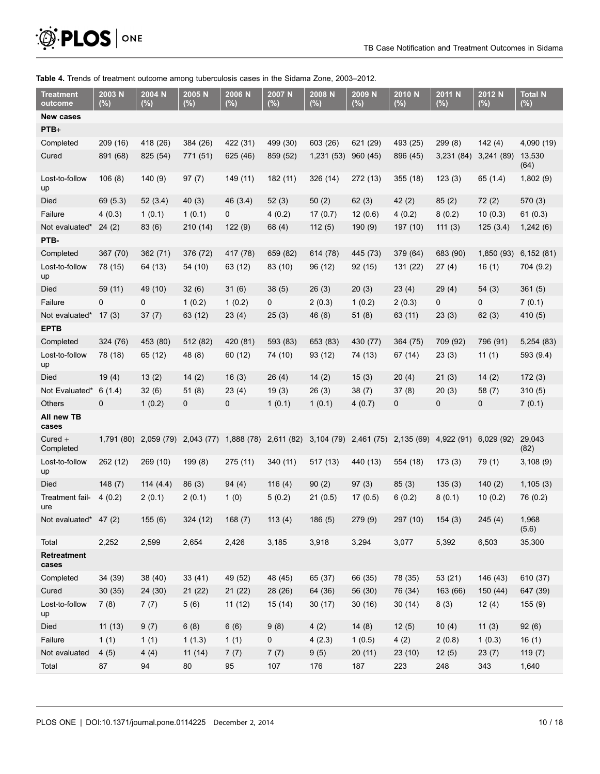<span id="page-9-0"></span>

| <b>Treatment</b><br>outcome | 2003 N<br>$(\%)$ | 2004 N<br>$(\%)$ | 2005 N<br>$(\%)$ | 2006 N<br>$(\%)$ | 2007 N<br>$(\%)$ | 2008 N<br>$(\%)$ | 2009 N<br>(%) | 2010 N<br>$(\%)$ | 2011 N<br>$(\%)$ | 2012 N<br>$(\%)$ | Total N<br>$(\%)$ |
|-----------------------------|------------------|------------------|------------------|------------------|------------------|------------------|---------------|------------------|------------------|------------------|-------------------|
| New cases                   |                  |                  |                  |                  |                  |                  |               |                  |                  |                  |                   |
| $PTB+$                      |                  |                  |                  |                  |                  |                  |               |                  |                  |                  |                   |
| Completed                   | 209 (16)         | 418 (26)         | 384 (26)         | 422 (31)         | 499 (30)         | 603 (26)         | 621 (29)      | 493 (25)         | 299(8)           | 142(4)           | 4,090 (19)        |
| Cured                       | 891 (68)         | 825 (54)         | 771 (51)         | 625 (46)         | 859 (52)         | 1,231(53)        | 960 (45)      | 896 (45)         | 3,231(84)        | 3,241(89)        | 13,530<br>(64)    |
| Lost-to-follow<br>up        | 106(8)           | 140 (9)          | 97(7)            | 149 (11)         | 182 (11)         | 326 (14)         | 272 (13)      | 355 (18)         | 123(3)           | 65 (1.4)         | 1,802(9)          |
| Died                        | 69 (5.3)         | 52(3.4)          | 40(3)            | 46 (3.4)         | 52(3)            | 50(2)            | 62(3)         | 42(2)            | 85(2)            | 72(2)            | 570(3)            |
| Failure                     | 4(0.3)           | 1(0.1)           | 1(0.1)           | 0                | 4(0.2)           | 17(0.7)          | 12(0.6)       | 4(0.2)           | 8(0.2)           | 10(0.3)          | 61(0.3)           |
| Not evaluated*              | 24(2)            | 83 (6)           | 210(14)          | 122(9)           | 68 (4)           | 112(5)           | 190 (9)       | 197 (10)         | 111(3)           | 125(3.4)         | 1,242(6)          |
| PTB-                        |                  |                  |                  |                  |                  |                  |               |                  |                  |                  |                   |
| Completed                   | 367 (70)         | 362 (71)         | 376 (72)         | 417 (78)         | 659 (82)         | 614 (78)         | 445 (73)      | 379 (64)         | 683 (90)         | 1,850 (93)       | 6,152(81)         |
| Lost-to-follow<br>up        | 78 (15)          | 64 (13)          | 54 (10)          | 63 (12)          | 83 (10)          | 96 (12)          | 92 (15)       | 131 (22)         | 27(4)            | 16(1)            | 704 (9.2)         |
| Died                        | 59 (11)          | 49 (10)          | 32(6)            | 31(6)            | 38(5)            | 26(3)            | 20(3)         | 23(4)            | 29(4)            | 54(3)            | 361(5)            |
| Failure                     | 0                | 0                | 1(0.2)           | 1(0.2)           | 0                | 2(0.3)           | 1(0.2)        | 2(0.3)           | 0                | 0                | 7(0.1)            |
| Not evaluated*              | 17(3)            | 37(7)            | 63 (12)          | 23(4)            | 25(3)            | 46 (6)           | 51(8)         | 63 (11)          | 23(3)            | 62(3)            | 410(5)            |
| <b>EPTB</b>                 |                  |                  |                  |                  |                  |                  |               |                  |                  |                  |                   |
| Completed                   | 324 (76)         | 453 (80)         | 512 (82)         | 420 (81)         | 593 (83)         | 653 (83)         | 430 (77)      | 364 (75)         | 709 (92)         | 796 (91)         | 5,254(83)         |
| Lost-to-follow<br>up        | 78 (18)          | 65 (12)          | 48 (8)           | 60 (12)          | 74 (10)          | 93 (12)          | 74 (13)       | 67 (14)          | 23(3)            | 11 $(1)$         | 593 (9.4)         |
| Died                        | 19(4)            | 13(2)            | 14(2)            | 16(3)            | 26(4)            | 14(2)            | 15(3)         | 20(4)            | 21(3)            | 14(2)            | 172(3)            |
| Not Evaluated*              | 6(1.4)           | 32(6)            | 51(8)            | 23(4)            | 19(3)            | 26(3)            | 38(7)         | 37(8)            | 20(3)            | 58 $(7)$         | 310(5)            |
| Others                      | 0                | 1(0.2)           | 0                | 0                | 1(0.1)           | 1(0.1)           | 4 (0.7)       | 0                | 0                | 0                | 7(0.1)            |
| All new TB<br>cases         |                  |                  |                  |                  |                  |                  |               |                  |                  |                  |                   |
| $Cured +$<br>Completed      | 1,791(80)        | 2,059 (79)       | 2,043(77)        | 1,888 (78)       | 2,611(82)        | 3,104(79)        | 2,461(75)     | 2,135 (69)       | 4,922 (91)       | 6,029(92)        | 29,043<br>(82)    |
| Lost-to-follow<br>up        | 262 (12)         | 269 (10)         | 199 (8)          | 275 (11)         | 340 (11)         | 517 (13)         | 440 (13)      | 554 (18)         | 173(3)           | 79(1)            | 3,108(9)          |
| Died                        | 148(7)           | 114(4.4)         | 86(3)            | 94(4)            | 116(4)           | 90(2)            | 97(3)         | 85(3)            | 135(3)           | 140(2)           | 1,105(3)          |
| Treatment fail-<br>ure      | 4(0.2)           | 2(0.1)           | 2(0.1)           | 1(0)             | 5(0.2)           | 21(0.5)          | 17(0.5)       | 6(0.2)           | 8(0.1)           | 10(0.2)          | 76 (0.2)          |
| Not evaluated* 47 (2)       |                  | 155(6)           | 324 (12)         | 168(7)           | 113(4)           | 186(5)           | 279 (9)       | 297 (10)         | 154(3)           | 245(4)           | 1,968<br>(5.6)    |
| Total                       | 2,252            | 2,599            | 2,654            | 2,426            | 3,185            | 3,918            | 3,294         | 3,077            | 5,392            | 6,503            | 35,300            |
| Retreatment<br>cases        |                  |                  |                  |                  |                  |                  |               |                  |                  |                  |                   |
| Completed                   | 34 (39)          | 38 (40)          | 33(41)           | 49 (52)          | 48 (45)          | 65 (37)          | 66 (35)       | 78 (35)          | 53 (21)          | 146 (43)         | 610 (37)          |
| Cured                       | 30(35)           | 24 (30)          | 21(22)           | 21(22)           | 28 (26)          | 64 (36)          | 56 (30)       | 76 (34)          | 163 (66)         | 150 (44)         | 647 (39)          |
| Lost-to-follow<br>up        | 7(8)             | 7(7)             | 5(6)             | 11(12)           | 15(14)           | 30(17)           | 30(16)        | 30(14)           | 8(3)             | 12(4)            | 155 (9)           |
| Died                        | 11(13)           | 9(7)             | 6(8)             | 6(6)             | 9(8)             | 4(2)             | 14(8)         | 12(5)            | 10(4)            | 11(3)            | 92(6)             |
| Failure                     | 1(1)             | 1(1)             | 1(1.3)           | 1(1)             | 0                | 4(2.3)           | 1(0.5)        | 4(2)             | 2(0.8)           | 1(0.3)           | 16(1)             |
| Not evaluated               | 4(5)             | 4(4)             | 11(14)           | 7(7)             | 7(7)             | 9(5)             | 20(11)        | 23(10)           | 12(5)            | 23(7)            | 119(7)            |
| Total                       | 87               | 94               | $80\,$           | $95\,$           | 107              | 176              | 187           | 223              | 248              | 343              | 1,640             |

#### Table 4. Trends of treatment outcome among tuberculosis cases in the Sidama Zone, 2003–2012.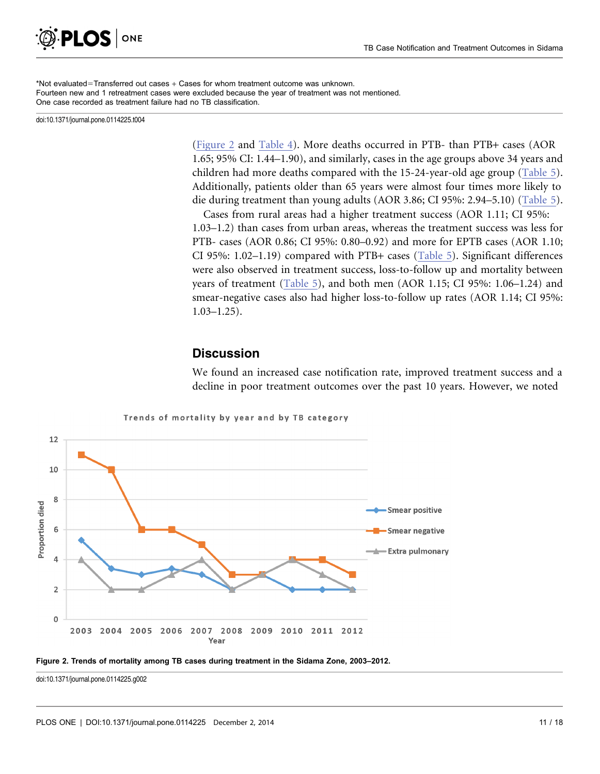

\*Not evaluated=Transferred out cases + Cases for whom treatment outcome was unknown. Fourteen new and 1 retreatment cases were excluded because the year of treatment was not mentioned. One case recorded as treatment failure had no TB classification.

doi:10.1371/journal.pone.0114225.t004

**PLOS** | ONE

(Figure 2 and [Table 4\). More deaths occurred in PTB- than PTB](#page-9-0)+ cases (AOR [1.65; 95% CI: 1.44–1.90\), and similarly, cases in the age groups above 34 years and](#page-9-0) [children had more deaths compared with the 15-24-year-old age group \(](#page-9-0)[Table 5\).](#page-11-0) [Additionally, patients older than 65 years were almost four times more likely to](#page-11-0) [die during treatment than young adults \(AOR 3.86; CI 95%: 2.94–5.10\) \(Table 5\).](#page-11-0)

Cases from rural areas had a higher treatment success (AOR 1.11; CI 95%: 1.03–1.2) than cases from urban areas, whereas the treatment success was less for PTB- cases (AOR 0.86; CI 95%: 0.80–0.92) and more for EPTB cases (AOR 1.10; CI 95%: 1.02–1.19) compared with PTB+ cases ([Table 5\). Significant differences](#page-11-0) [were also observed in treatment success, loss-to-follow up and mortality between](#page-11-0) [years of treatment \(Table 5\), and both men \(AOR 1.15; CI 95%: 1.06–1.24\) and](#page-11-0) [smear-negative cases also had higher loss-to-follow up rates \(AOR 1.14; CI 95%:](#page-11-0) [1.03–1.25\).](#page-11-0)

### **Discussion**

We found an increased case notification rate, improved treatment success and a decline in poor treatment outcomes over the past 10 years. However, we noted



Trends of mortality by year and by TB category

doi:10.1371/journal.pone.0114225.g002

Figure 2. Trends of mortality among TB cases during treatment in the Sidama Zone, 2003–2012.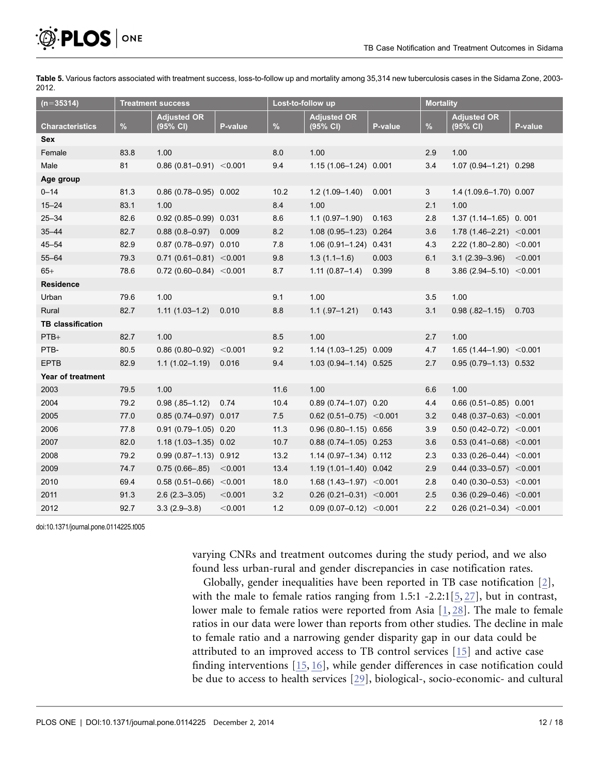Table 5. Various factors associated with treatment success, loss-to-follow up and mortality among 35,314 new tuberculosis cases in the Sidama Zone, 2003- 2012.

| $(n=35314)$              |      | <b>Treatment success</b>       |         | Lost-to-follow up |                                |                | <b>Mortality</b> |                                |         |
|--------------------------|------|--------------------------------|---------|-------------------|--------------------------------|----------------|------------------|--------------------------------|---------|
| <b>Characteristics</b>   | $\%$ | <b>Adjusted OR</b><br>(95% CI) | P-value | $\%$              | <b>Adjusted OR</b><br>(95% CI) | <b>P-value</b> | $\%$             | <b>Adjusted OR</b><br>(95% CI) | P-value |
| <b>Sex</b>               |      |                                |         |                   |                                |                |                  |                                |         |
| Female                   | 83.8 | 1.00                           |         | 8.0               | 1.00                           |                | 2.9              | 1.00                           |         |
| Male                     | 81   | $0.86(0.81 - 0.91)$ < 0.001    |         | 9.4               | 1.15 (1.06-1.24) 0.001         |                | 3.4              | 1.07 (0.94-1.21) 0.298         |         |
| Age group                |      |                                |         |                   |                                |                |                  |                                |         |
| $0 - 14$                 | 81.3 | $0.86(0.78 - 0.95)0.002$       |         | 10.2              | $1.2(1.09 - 1.40)$             | 0.001          | 3                | 1.4 (1.09.6-1.70) 0.007        |         |
| $15 - 24$                | 83.1 | 1.00                           |         | 8.4               | 1.00                           |                | 2.1              | 1.00                           |         |
| $25 - 34$                | 82.6 | $0.92(0.85 - 0.99)$ 0.031      |         | 8.6               | $1.1(0.97 - 1.90)$             | 0.163          | 2.8              | $1.37(1.14 - 1.65)$ 0.001      |         |
| $35 - 44$                | 82.7 | $0.88(0.8 - 0.97)$             | 0.009   | 8.2               | 1.08 (0.95-1.23) 0.264         |                | 3.6              | 1.78 $(1.46 - 2.21)$ < 0.001   |         |
| $45 - 54$                | 82.9 | 0.87 (0.78-0.97) 0.010         |         | 7.8               | 1.06 (0.91-1.24) 0.431         |                | 4.3              | 2.22 $(1.80 - 2.80)$ < 0.001   |         |
| $55 - 64$                | 79.3 | $0.71(0.61 - 0.81) < 0.001$    |         | 9.8               | $1.3(1.1-1.6)$                 | 0.003          | 6.1              | $3.1(2.39 - 3.96)$             | < 0.001 |
| $65+$                    | 78.6 | $0.72(0.60 - 0.84) < 0.001$    |         | 8.7               | $1.11(0.87 - 1.4)$             | 0.399          | 8                | 3.86 (2.94-5.10) < 0.001       |         |
| <b>Residence</b>         |      |                                |         |                   |                                |                |                  |                                |         |
| Urban                    | 79.6 | 1.00                           |         | 9.1               | 1.00                           |                | 3.5              | 1.00                           |         |
| Rural                    | 82.7 | $1.11(1.03 - 1.2)$             | 0.010   | 8.8               | $1.1(.97 - 1.21)$              | 0.143          | 3.1              | $0.98$ $(.82 - 1.15)$          | 0.703   |
| <b>TB classification</b> |      |                                |         |                   |                                |                |                  |                                |         |
| $PTB+$                   | 82.7 | 1.00                           |         | 8.5               | 1.00                           |                | 2.7              | 1.00                           |         |
| PTB-                     | 80.5 | $0.86(0.80 - 0.92)$ < 0.001    |         | 9.2               | 1.14 (1.03-1.25) 0.009         |                | 4.7              | $1.65(1.44-1.90) < 0.001$      |         |
| <b>EPTB</b>              | 82.9 | $1.1(1.02 - 1.19)$             | 0.016   | 9.4               | 1.03 (0.94-1.14) 0.525         |                | 2.7              | $0.95(0.79 - 1.13)0.532$       |         |
| Year of treatment        |      |                                |         |                   |                                |                |                  |                                |         |
| 2003                     | 79.5 | 1.00                           |         | 11.6              | 1.00                           |                | 6.6              | 1.00                           |         |
| 2004                     | 79.2 | $0.98(.85 - 1.12)$             | 0.74    | 10.4              | $0.89(0.74 - 1.07)0.20$        |                | 4.4              | $0.66$ (0.51-0.85) 0.001       |         |
| 2005                     | 77.0 | $0.85(0.74 - 0.97)0.017$       |         | 7.5               | $0.62$ (0.51-0.75) <0.001      |                | 3.2              | $0.48(0.37-0.63)$ < 0.001      |         |
| 2006                     | 77.8 | $0.91(0.79 - 1.05)0.20$        |         | 11.3              | $0.96(0.80 - 1.15)0.656$       |                | 3.9              | $0.50(0.42 - 0.72) < 0.001$    |         |
| 2007                     | 82.0 | 1.18 (1.03-1.35) 0.02          |         | 10.7              | $0.88$ (0.74-1.05) 0.253       |                | 3.6              | $0.53$ (0.41-0.68) < 0.001     |         |
| 2008                     | 79.2 | $0.99(0.87 - 1.13)0.912$       |         | 13.2              | 1.14 (0.97-1.34) 0.112         |                | 2.3              | $0.33(0.26 - 0.44) < 0.001$    |         |
| 2009                     | 74.7 | $0.75(0.66 - .85)$             | < 0.001 | 13.4              | 1.19 (1.01-1.40) 0.042         |                | 2.9              | $0.44$ (0.33-0.57) < 0.001     |         |
| 2010                     | 69.4 | $0.58(0.51 - 0.66) < 0.001$    |         | 18.0              | $1.68$ (1.43-1.97) < 0.001     |                | 2.8              | $0.40(0.30 - 0.53) < 0.001$    |         |
| 2011                     | 91.3 | $2.6(2.3 - 3.05)$              | < 0.001 | 3.2               | $0.26(0.21 - 0.31) < 0.001$    |                | 2.5              | $0.36(0.29 - 0.46)$ < 0.001    |         |
| 2012                     | 92.7 | $3.3(2.9-3.8)$                 | < 0.001 | 1.2               | $0.09(0.07 - 0.12) < 0.001$    |                | 2.2              | $0.26(0.21 - 0.34) < 0.001$    |         |

doi:10.1371/journal.pone.0114225.t005

<span id="page-11-0"></span>**PLOS** ONE

varying CNRs and treatment outcomes during the study period, and we also found less urban-rural and gender discrepancies in case notification rates.

Globally, gender inequalities have been reported in TB case notification [\[2\],](#page-15-0) [with the male to female ratios ranging from 1.5:1 -2.2:1\[5,](#page-15-0) [27\], but in contrast,](#page-15-0) [lower male to female ratios were reported from Asia \[1,](#page-15-0) [28\]. The male to female](#page-15-0) [ratios in our data were lower than reports from other studies. The decline in male](#page-15-0) [to female ratio and a narrowing gender disparity gap in our data could be](#page-15-0) [attributed to an improved access to TB control services \[15\] and active case](#page-15-0) [finding interventions \[15,](#page-15-0) [16\], while gender differences in case notification could](#page-15-0) [be due to access to health services \[29\], biological-, socio-economic- and cultural](#page-16-0)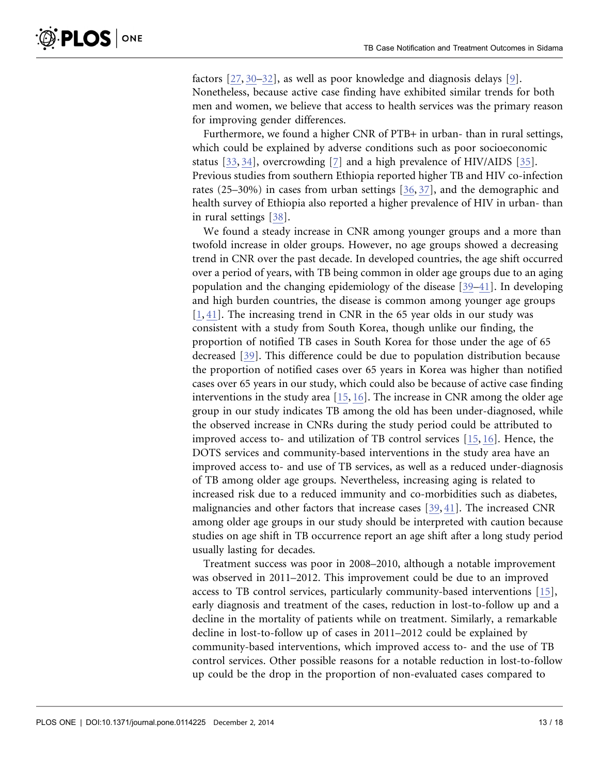[factors \[27,](#page-16-0) [30–32](#page-16-0)[\], as well as poor knowledge and diagnosis delays \[9\].](#page-15-0) [Nonetheless, because active case finding have exhibited similar trends for both](#page-15-0) [men and women, we believe that access to health services was the primary reason](#page-15-0) [for improving gender differences.](#page-15-0)

Furthermore, we found a higher CNR of PTB+ in urban- than in rural settings, which could be explained by adverse conditions such as poor socioeconomic status [\[33,](#page-16-0) [34](#page-16-0)[\], overcrowding \[7](#page-15-0)[\] and a high prevalence of HIV/AIDS \[35\].](#page-16-0) [Previous studies from southern Ethiopia reported higher TB and HIV co-infection](#page-16-0) [rates \(25–30%\) in cases from urban settings \[36,](#page-16-0) [37\], and the demographic and](#page-16-0) [health survey of Ethiopia also reported a higher prevalence of HIV in urban- than](#page-16-0) [in rural settings \[38\].](#page-16-0)

We found a steady increase in CNR among younger groups and a more than twofold increase in older groups. However, no age groups showed a decreasing trend in CNR over the past decade. In developed countries, the age shift occurred over a period of years, with TB being common in older age groups due to an aging population and the changing epidemiology of the disease [\[39–41\]. In developing](#page-16-0) [and high burden countries, the disease is common among younger age groups](#page-16-0) [\[1,](#page-15-0) [41\]. The increasing trend in CNR in the 65 year olds in our study was](#page-15-0) [consistent with a study from South Korea, though unlike our finding, the](#page-15-0) [proportion of notified TB cases in South Korea for those under the age of 65](#page-15-0) [decreased \[39\]. This difference could be due to population distribution because](#page-16-0) [the proportion of notified cases over 65 years in Korea was higher than notified](#page-16-0) [cases over 65 years in our study, which could also be because of active case finding](#page-16-0) interventions in the study area  $[15, 16]$ . The increase in CNR among the older age [group in our study indicates TB among the old has been under-diagnosed, while](#page-15-0) [the observed increase in CNRs during the study period could be attributed to](#page-15-0) [improved access to- and utilization of TB control services \[15,](#page-15-0) [16\]. Hence, the](#page-15-0) [DOTS services and community-based interventions in the study area have an](#page-15-0) [improved access to- and use of TB services, as well as a reduced under-diagnosis](#page-15-0) [of TB among older age groups. Nevertheless, increasing aging is related to](#page-15-0) [increased risk due to a reduced immunity and co-morbidities such as diabetes,](#page-15-0) [malignancies and other factors that increase cases \[39,](#page-16-0) [41\]. The increased CNR](#page-16-0) [among older age groups in our study should be interpreted with caution because](#page-16-0) [studies on age shift in TB occurrence report an age shift after a long study period](#page-16-0) [usually lasting for decades.](#page-16-0)

Treatment success was poor in 2008–2010, although a notable improvement was observed in 2011–2012. This improvement could be due to an improved access to TB control services, particularly community-based interventions [\[15\],](#page-15-0) [early diagnosis and treatment of the cases, reduction in lost-to-follow up and a](#page-15-0) [decline in the mortality of patients while on treatment. Similarly, a remarkable](#page-15-0) [decline in lost-to-follow up of cases in 2011–2012 could be explained by](#page-15-0) [community-based interventions, which improved access to- and the use of TB](#page-15-0) [control services. Other possible reasons for a notable reduction in lost-to-follow](#page-15-0) [up could be the drop in the proportion of non-evaluated cases compared to](#page-15-0)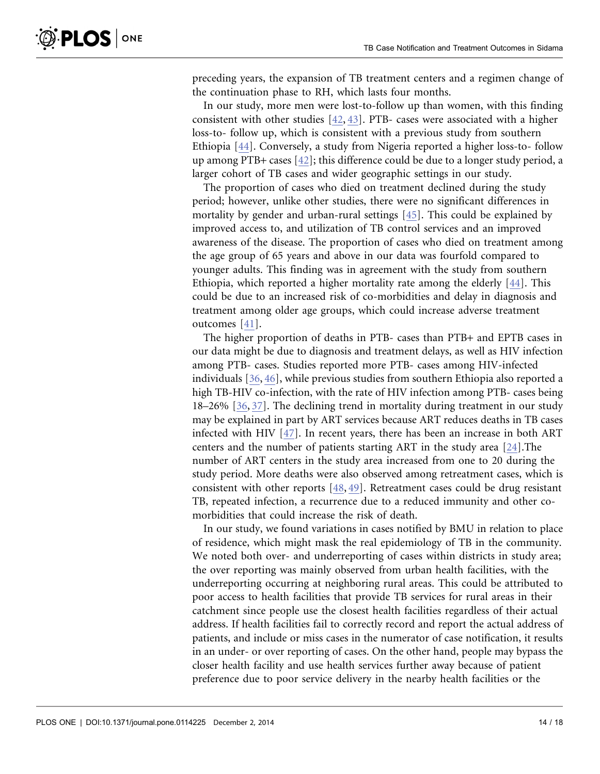[preceding years, the expansion of TB treatment centers and a regimen change of](#page-15-0) [the continuation phase to RH, which lasts four months.](#page-15-0)

In our study, more men were lost-to-follow up than women, with this finding consistent with other studies [\[42,](#page-16-0) [43\]. PTB- cases were associated with a higher](#page-16-0) [loss-to- follow up, which is consistent with a previous study from southern](#page-16-0) [Ethiopia \[44\]. Conversely, a study from Nigeria reported a higher loss-to- follow](#page-16-0) [up among PTB](#page-16-0)+ cases  $[42]$ ; this difference could be due to a longer study period, a [larger cohort of TB cases and wider geographic settings in our study.](#page-16-0)

The proportion of cases who died on treatment declined during the study period; however, unlike other studies, there were no significant differences in mortality by gender and urban-rural settings [\[45\]. This could be explained by](#page-16-0) [improved access to, and utilization of TB control services and an improved](#page-16-0) [awareness of the disease. The proportion of cases who died on treatment among](#page-16-0) [the age group of 65 years and above in our data was fourfold compared to](#page-16-0) [younger adults. This finding was in agreement with the study from southern](#page-16-0) [Ethiopia, which reported a higher mortality rate among the elderly \[44\]. This](#page-16-0) [could be due to an increased risk of co-morbidities and delay in diagnosis and](#page-16-0) [treatment among older age groups, which could increase adverse treatment](#page-16-0) [outcomes \[41\].](#page-16-0)

The higher proportion of deaths in PTB- cases than PTB+ and EPTB cases in our data might be due to diagnosis and treatment delays, as well as HIV infection among PTB- cases. Studies reported more PTB- cases among HIV-infected individuals [\[36,](#page-16-0) [46\], while previous studies from southern Ethiopia also reported a](#page-16-0) [high TB-HIV co-infection, with the rate of HIV infection among PTB- cases being](#page-16-0) [18–26% \[36,](#page-16-0) [37\]. The declining trend in mortality during treatment in our study](#page-16-0) [may be explained in part by ART services because ART reduces deaths in TB cases](#page-16-0) [infected with HIV \[47\]. In recent years, there has been an increase in both ART](#page-17-0) [centers and the number of patients starting ART in the study area \[24\].The](#page-16-0) [number of ART centers in the study area increased from one to 20 during the](#page-16-0) [study period. More deaths were also observed among retreatment cases, which is](#page-16-0) [consistent with other reports \[48,](#page-17-0) [49\]. Retreatment cases could be drug resistant](#page-17-0) [TB, repeated infection, a recurrence due to a reduced immunity and other co](#page-17-0)[morbidities that could increase the risk of death.](#page-17-0)

In our study, we found variations in cases notified by BMU in relation to place of residence, which might mask the real epidemiology of TB in the community. We noted both over- and underreporting of cases within districts in study area; the over reporting was mainly observed from urban health facilities, with the underreporting occurring at neighboring rural areas. This could be attributed to poor access to health facilities that provide TB services for rural areas in their catchment since people use the closest health facilities regardless of their actual address. If health facilities fail to correctly record and report the actual address of patients, and include or miss cases in the numerator of case notification, it results in an under- or over reporting of cases. On the other hand, people may bypass the closer health facility and use health services further away because of patient preference due to poor service delivery in the nearby health facilities or the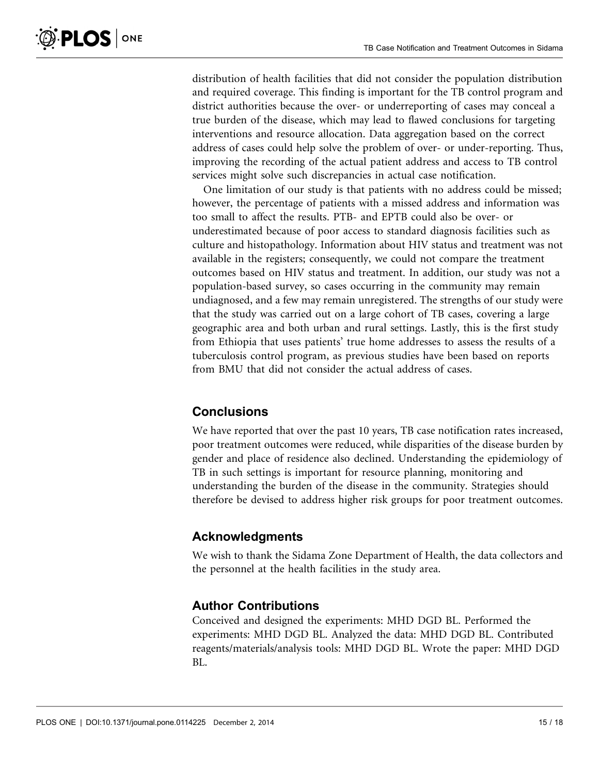distribution of health facilities that did not consider the population distribution and required coverage. This finding is important for the TB control program and district authorities because the over- or underreporting of cases may conceal a true burden of the disease, which may lead to flawed conclusions for targeting interventions and resource allocation. Data aggregation based on the correct address of cases could help solve the problem of over- or under-reporting. Thus, improving the recording of the actual patient address and access to TB control services might solve such discrepancies in actual case notification.

One limitation of our study is that patients with no address could be missed; however, the percentage of patients with a missed address and information was too small to affect the results. PTB- and EPTB could also be over- or underestimated because of poor access to standard diagnosis facilities such as culture and histopathology. Information about HIV status and treatment was not available in the registers; consequently, we could not compare the treatment outcomes based on HIV status and treatment. In addition, our study was not a population-based survey, so cases occurring in the community may remain undiagnosed, and a few may remain unregistered. The strengths of our study were that the study was carried out on a large cohort of TB cases, covering a large geographic area and both urban and rural settings. Lastly, this is the first study from Ethiopia that uses patients' true home addresses to assess the results of a tuberculosis control program, as previous studies have been based on reports from BMU that did not consider the actual address of cases.

## **Conclusions**

We have reported that over the past 10 years, TB case notification rates increased, poor treatment outcomes were reduced, while disparities of the disease burden by gender and place of residence also declined. Understanding the epidemiology of TB in such settings is important for resource planning, monitoring and understanding the burden of the disease in the community. Strategies should therefore be devised to address higher risk groups for poor treatment outcomes.

## Acknowledgments

We wish to thank the Sidama Zone Department of Health, the data collectors and the personnel at the health facilities in the study area.

## Author Contributions

Conceived and designed the experiments: MHD DGD BL. Performed the experiments: MHD DGD BL. Analyzed the data: MHD DGD BL. Contributed reagents/materials/analysis tools: MHD DGD BL. Wrote the paper: MHD DGD BL.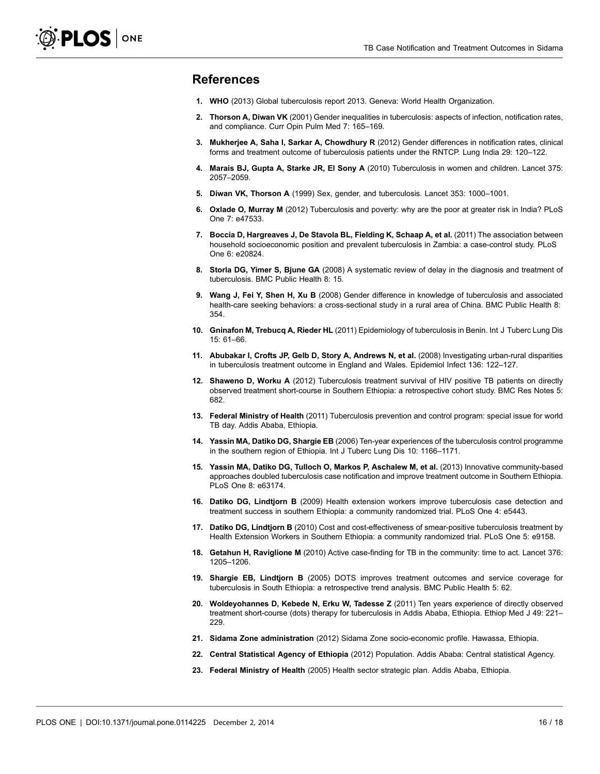### <span id="page-15-0"></span>References

- 1. WHO (2013) Global tuberculosis report 2013. Geneva: World Health Organization.
- 2. Thorson A, Diwan VK (2001) Gender inequalities in tuberculosis: aspects of infection, notification rates, and compliance. Curr Opin Pulm Med 7: 165–169.
- 3. Mukherjee A, Saha I, Sarkar A, Chowdhury R (2012) Gender differences in notification rates, clinical forms and treatment outcome of tuberculosis patients under the RNTCP. Lung India 29: 120–122.
- 4. Marais BJ, Gupta A, Starke JR, El Sony A (2010) Tuberculosis in women and children. Lancet 375: 2057–2059.
- 5. Diwan VK, Thorson A (1999) Sex, gender, and tuberculosis. Lancet 353: 1000–1001.
- 6. Oxlade O, Murray M (2012) Tuberculosis and poverty: why are the poor at greater risk in India? PLoS One 7: e47533.
- 7. Boccia D, Hargreaves J, De Stavola BL, Fielding K, Schaap A, et al. (2011) The association between household socioeconomic position and prevalent tuberculosis in Zambia: a case-control study. PLoS One 6: e20824.
- 8. Storla DG, Yimer S, Bjune GA (2008) A systematic review of delay in the diagnosis and treatment of tuberculosis. BMC Public Health 8: 15.
- 9. Wang J, Fei Y, Shen H, Xu B (2008) Gender difference in knowledge of tuberculosis and associated health-care seeking behaviors: a cross-sectional study in a rural area of China. BMC Public Health 8: 354.
- 10. Gninafon M, Trebucq A, Rieder HL (2011) Epidemiology of tuberculosis in Benin. Int J Tuberc Lung Dis 15: 61–66.
- 11. Abubakar I, Crofts JP, Gelb D, Story A, Andrews N, et al. (2008) Investigating urban-rural disparities in tuberculosis treatment outcome in England and Wales. Epidemiol Infect 136: 122–127.
- 12. Shaweno D, Worku A (2012) Tuberculosis treatment survival of HIV positive TB patients on directly observed treatment short-course in Southern Ethiopia: a retrospective cohort study. BMC Res Notes 5: 682.
- 13. Federal Ministry of Health (2011) Tuberculosis prevention and control program: special issue for world TB day. Addis Ababa, Ethiopia.
- 14. Yassin MA, Datiko DG, Shargie EB (2006) Ten-year experiences of the tuberculosis control programme in the southern region of Ethiopia. Int J Tuberc Lung Dis 10: 1166–1171.
- 15. Yassin MA, Datiko DG, Tulloch O, Markos P, Aschalew M, et al. (2013) Innovative community-based approaches doubled tuberculosis case notification and improve treatment outcome in Southern Ethiopia. PLoS One 8: e63174.
- 16. Datiko DG, Lindtjorn B (2009) Health extension workers improve tuberculosis case detection and treatment success in southern Ethiopia: a community randomized trial. PLoS One 4: e5443.
- 17. Datiko DG, Lindtjorn B (2010) Cost and cost-effectiveness of smear-positive tuberculosis treatment by Health Extension Workers in Southern Ethiopia: a community randomized trial. PLoS One 5: e9158.
- 18. Getahun H, Raviglione M (2010) Active case-finding for TB in the community: time to act. Lancet 376: 1205–1206.
- 19. Shargie EB, Lindtjorn B (2005) DOTS improves treatment outcomes and service coverage for tuberculosis in South Ethiopia: a retrospective trend analysis. BMC Public Health 5: 62.
- 20. Woldeyohannes D, Kebede N, Erku W, Tadesse Z (2011) Ten years experience of directly observed treatment short-course (dots) therapy for tuberculosis in Addis Ababa, Ethiopia. Ethiop Med J 49: 221– 229.
- 21. Sidama Zone administration (2012) Sidama Zone socio-economic profile. Hawassa, Ethiopia.
- 22. Central Statistical Agency of Ethiopia (2012) Population. Addis Ababa: Central statistical Agency.
- 23. Federal Ministry of Health (2005) Health sector strategic plan. Addis Ababa, Ethiopia.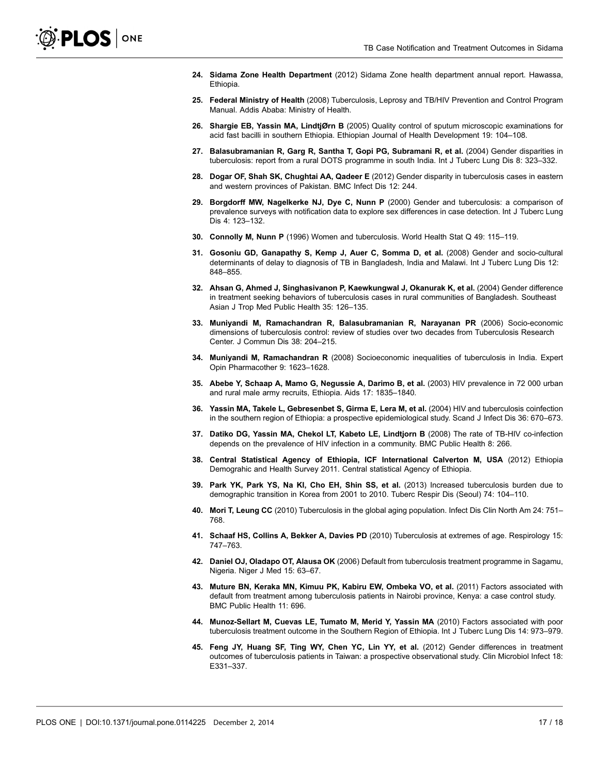- <span id="page-16-0"></span>24. Sidama Zone Health Department (2012) Sidama Zone health department annual report. Hawassa, Ethiopia.
- 25. Federal Ministry of Health (2008) Tuberculosis, Leprosy and TB/HIV Prevention and Control Program Manual. Addis Ababa: Ministry of Health.
- 26. Shargie EB, Yassin MA, LindtjØrn B (2005) Quality control of sputum microscopic examinations for acid fast bacilli in southern Ethiopia. Ethiopian Journal of Health Development 19: 104–108.
- 27. Balasubramanian R, Garg R, Santha T, Gopi PG, Subramani R, et al. (2004) Gender disparities in tuberculosis: report from a rural DOTS programme in south India. Int J Tuberc Lung Dis 8: 323–332.
- 28. Dogar OF, Shah SK, Chughtai AA, Qadeer E (2012) Gender disparity in tuberculosis cases in eastern and western provinces of Pakistan. BMC Infect Dis 12: 244.
- 29. Borgdorff MW, Nagelkerke NJ, Dye C, Nunn P (2000) Gender and tuberculosis: a comparison of prevalence surveys with notification data to explore sex differences in case detection. Int J Tuberc Lung Dis 4: 123–132.
- 30. Connolly M, Nunn P (1996) Women and tuberculosis. World Health Stat Q 49: 115–119.
- 31. Gosoniu GD, Ganapathy S, Kemp J, Auer C, Somma D, et al. (2008) Gender and socio-cultural determinants of delay to diagnosis of TB in Bangladesh, India and Malawi. Int J Tuberc Lung Dis 12: 848–855.
- 32. Ahsan G, Ahmed J, Singhasivanon P, Kaewkungwal J, Okanurak K, et al. (2004) Gender difference in treatment seeking behaviors of tuberculosis cases in rural communities of Bangladesh. Southeast Asian J Trop Med Public Health 35: 126–135.
- 33. Muniyandi M, Ramachandran R, Balasubramanian R, Narayanan PR (2006) Socio-economic dimensions of tuberculosis control: review of studies over two decades from Tuberculosis Research Center. J Commun Dis 38: 204–215.
- 34. Muniyandi M, Ramachandran R (2008) Socioeconomic inequalities of tuberculosis in India. Expert Opin Pharmacother 9: 1623–1628.
- 35. Abebe Y, Schaap A, Mamo G, Negussie A, Darimo B, et al. (2003) HIV prevalence in 72 000 urban and rural male army recruits, Ethiopia. Aids 17: 1835–1840.
- 36. Yassin MA, Takele L, Gebresenbet S, Girma E, Lera M, et al. (2004) HIV and tuberculosis coinfection in the southern region of Ethiopia: a prospective epidemiological study. Scand J Infect Dis 36: 670–673.
- 37. Datiko DG, Yassin MA, Chekol LT, Kabeto LE, Lindtjorn B (2008) The rate of TB-HIV co-infection depends on the prevalence of HIV infection in a community. BMC Public Health 8: 266.
- 38. Central Statistical Agency of Ethiopia, ICF International Calverton M, USA (2012) Ethiopia Demograhic and Health Survey 2011. Central statistical Agency of Ethiopia.
- 39. Park YK, Park YS, Na KI, Cho EH, Shin SS, et al. (2013) Increased tuberculosis burden due to demographic transition in Korea from 2001 to 2010. Tuberc Respir Dis (Seoul) 74: 104–110.
- 40. Mori T, Leung CC (2010) Tuberculosis in the global aging population. Infect Dis Clin North Am 24: 751– 768.
- 41. Schaaf HS, Collins A, Bekker A, Davies PD (2010) Tuberculosis at extremes of age. Respirology 15: 747–763.
- 42. Daniel OJ, Oladapo OT, Alausa OK (2006) Default from tuberculosis treatment programme in Sagamu, Nigeria. Niger J Med 15: 63–67.
- 43. Muture BN, Keraka MN, Kimuu PK, Kabiru EW, Ombeka VO, et al. (2011) Factors associated with default from treatment among tuberculosis patients in Nairobi province, Kenya: a case control study. BMC Public Health 11: 696.
- 44. Munoz-Sellart M, Cuevas LE, Tumato M, Merid Y, Yassin MA (2010) Factors associated with poor tuberculosis treatment outcome in the Southern Region of Ethiopia. Int J Tuberc Lung Dis 14: 973–979.
- 45. Feng JY, Huang SF, Ting WY, Chen YC, Lin YY, et al. (2012) Gender differences in treatment outcomes of tuberculosis patients in Taiwan: a prospective observational study. Clin Microbiol Infect 18: E331–337.